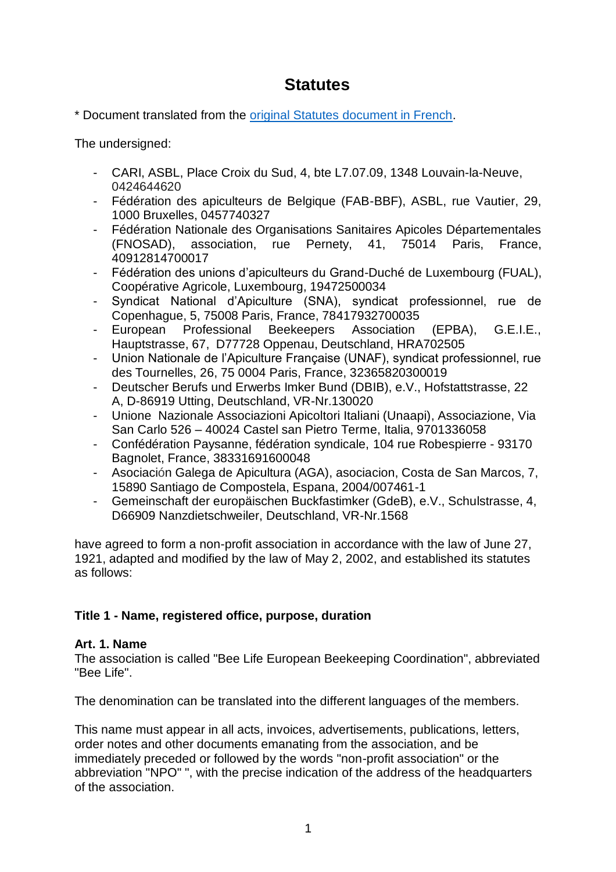# **Statutes**

\* Document translated from the [original Statutes document in French.](https://docs.wixstatic.com/ugd/8e8ea4_fa3d0290d3d6438c8dfe2add1b881659.pdf)

The undersigned:

- CARI, ASBL, Place Croix du Sud, 4, bte L7.07.09, 1348 Louvain-la-Neuve, 0424644620
- Fédération des apiculteurs de Belgique (FAB-BBF), ASBL, rue Vautier, 29, 1000 Bruxelles, 0457740327
- Fédération Nationale des Organisations Sanitaires Apicoles Départementales (FNOSAD), association, rue Pernety, 41, 75014 Paris, France, 40912814700017
- Fédération des unions d'apiculteurs du Grand-Duché de Luxembourg (FUAL), Coopérative Agricole, Luxembourg, 19472500034
- Syndicat National d'Apiculture (SNA), syndicat professionnel, rue de Copenhague, 5, 75008 Paris, France, 78417932700035
- European Professional Beekeepers Association (EPBA), G.E.I.E., Hauptstrasse, 67, D77728 Oppenau, Deutschland, HRA702505
- Union Nationale de l'Apiculture Française (UNAF), syndicat professionnel, rue des Tournelles, 26, 75 0004 Paris, France, 32365820300019
- Deutscher Berufs und Erwerbs Imker Bund (DBIB), e.V., Hofstattstrasse, 22 A, D-86919 Utting, Deutschland, VR-Nr.130020
- Unione Nazionale Associazioni Apicoltori Italiani (Unaapi), Associazione, Via San Carlo 526 – 40024 Castel san Pietro Terme, Italia, 9701336058
- Confédération Paysanne, fédération syndicale, 104 rue Robespierre 93170 Bagnolet, France, 38331691600048
- Asociación Galega de Apicultura (AGA), asociacion, Costa de San Marcos, 7, 15890 Santiago de Compostela, Espana, 2004/007461-1
- Gemeinschaft der europäischen Buckfastimker (GdeB), e.V., Schulstrasse, 4, D66909 Nanzdietschweiler, Deutschland, VR-Nr.1568

have agreed to form a non-profit association in accordance with the law of June 27, 1921, adapted and modified by the law of May 2, 2002, and established its statutes as follows:

# **Title 1 - Name, registered office, purpose, duration**

# **Art. 1. Name**

The association is called "Bee Life European Beekeeping Coordination", abbreviated "Bee Life".

The denomination can be translated into the different languages of the members.

This name must appear in all acts, invoices, advertisements, publications, letters, order notes and other documents emanating from the association, and be immediately preceded or followed by the words "non-profit association" or the abbreviation "NPO" ", with the precise indication of the address of the headquarters of the association.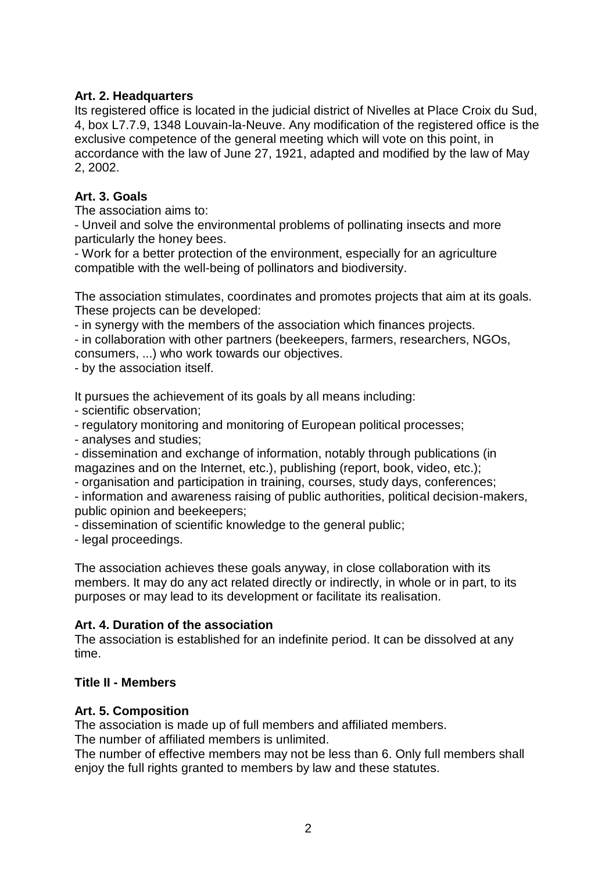# **Art. 2. Headquarters**

Its registered office is located in the judicial district of Nivelles at Place Croix du Sud, 4, box L7.7.9, 1348 Louvain-la-Neuve. Any modification of the registered office is the exclusive competence of the general meeting which will vote on this point, in accordance with the law of June 27, 1921, adapted and modified by the law of May 2, 2002.

### **Art. 3. Goals**

The association aims to:

- Unveil and solve the environmental problems of pollinating insects and more particularly the honey bees.

- Work for a better protection of the environment, especially for an agriculture compatible with the well-being of pollinators and biodiversity.

The association stimulates, coordinates and promotes projects that aim at its goals. These projects can be developed:

- in synergy with the members of the association which finances projects.

- in collaboration with other partners (beekeepers, farmers, researchers, NGOs, consumers, ...) who work towards our objectives.

- by the association itself.

It pursues the achievement of its goals by all means including:

- scientific observation;

- regulatory monitoring and monitoring of European political processes;

- analyses and studies;

- dissemination and exchange of information, notably through publications (in magazines and on the Internet, etc.), publishing (report, book, video, etc.);

- organisation and participation in training, courses, study days, conferences;

- information and awareness raising of public authorities, political decision-makers, public opinion and beekeepers;

- dissemination of scientific knowledge to the general public;

- legal proceedings.

The association achieves these goals anyway, in close collaboration with its members. It may do any act related directly or indirectly, in whole or in part, to its purposes or may lead to its development or facilitate its realisation.

# **Art. 4. Duration of the association**

The association is established for an indefinite period. It can be dissolved at any time.

### **Title II - Members**

### **Art. 5. Composition**

The association is made up of full members and affiliated members.

The number of affiliated members is unlimited.

The number of effective members may not be less than 6. Only full members shall enjoy the full rights granted to members by law and these statutes.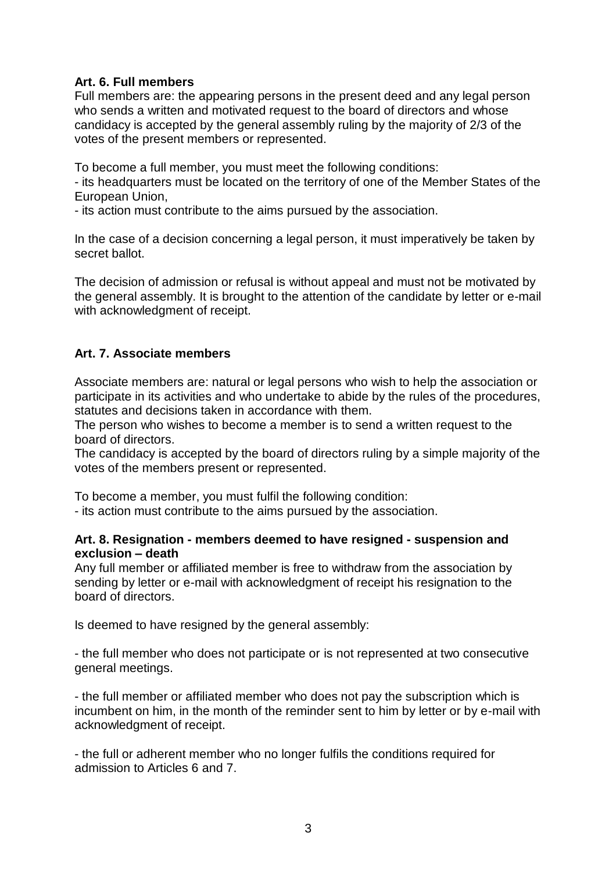# **Art. 6. Full members**

Full members are: the appearing persons in the present deed and any legal person who sends a written and motivated request to the board of directors and whose candidacy is accepted by the general assembly ruling by the majority of 2/3 of the votes of the present members or represented.

To become a full member, you must meet the following conditions:

- its headquarters must be located on the territory of one of the Member States of the European Union,

- its action must contribute to the aims pursued by the association.

In the case of a decision concerning a legal person, it must imperatively be taken by secret ballot.

The decision of admission or refusal is without appeal and must not be motivated by the general assembly. It is brought to the attention of the candidate by letter or e-mail with acknowledgment of receipt.

# **Art. 7. Associate members**

Associate members are: natural or legal persons who wish to help the association or participate in its activities and who undertake to abide by the rules of the procedures, statutes and decisions taken in accordance with them.

The person who wishes to become a member is to send a written request to the board of directors.

The candidacy is accepted by the board of directors ruling by a simple majority of the votes of the members present or represented.

To become a member, you must fulfil the following condition:

- its action must contribute to the aims pursued by the association.

#### **Art. 8. Resignation - members deemed to have resigned - suspension and exclusion – death**

Any full member or affiliated member is free to withdraw from the association by sending by letter or e-mail with acknowledgment of receipt his resignation to the board of directors.

Is deemed to have resigned by the general assembly:

- the full member who does not participate or is not represented at two consecutive general meetings.

- the full member or affiliated member who does not pay the subscription which is incumbent on him, in the month of the reminder sent to him by letter or by e-mail with acknowledgment of receipt.

- the full or adherent member who no longer fulfils the conditions required for admission to Articles 6 and 7.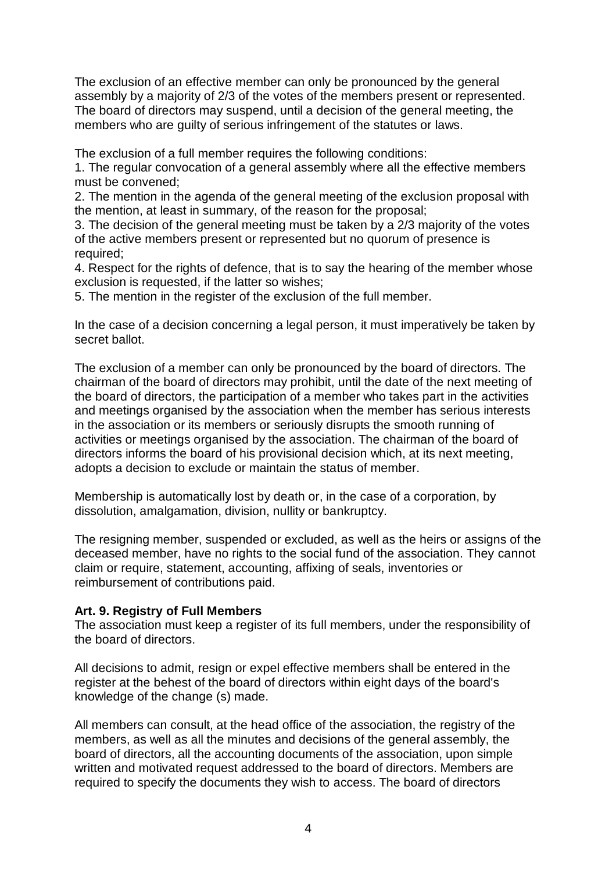The exclusion of an effective member can only be pronounced by the general assembly by a majority of 2/3 of the votes of the members present or represented. The board of directors may suspend, until a decision of the general meeting, the members who are guilty of serious infringement of the statutes or laws.

The exclusion of a full member requires the following conditions:

1. The regular convocation of a general assembly where all the effective members must be convened;

2. The mention in the agenda of the general meeting of the exclusion proposal with the mention, at least in summary, of the reason for the proposal;

3. The decision of the general meeting must be taken by a 2/3 majority of the votes of the active members present or represented but no quorum of presence is required;

4. Respect for the rights of defence, that is to say the hearing of the member whose exclusion is requested, if the latter so wishes;

5. The mention in the register of the exclusion of the full member.

In the case of a decision concerning a legal person, it must imperatively be taken by secret ballot.

The exclusion of a member can only be pronounced by the board of directors. The chairman of the board of directors may prohibit, until the date of the next meeting of the board of directors, the participation of a member who takes part in the activities and meetings organised by the association when the member has serious interests in the association or its members or seriously disrupts the smooth running of activities or meetings organised by the association. The chairman of the board of directors informs the board of his provisional decision which, at its next meeting, adopts a decision to exclude or maintain the status of member.

Membership is automatically lost by death or, in the case of a corporation, by dissolution, amalgamation, division, nullity or bankruptcy.

The resigning member, suspended or excluded, as well as the heirs or assigns of the deceased member, have no rights to the social fund of the association. They cannot claim or require, statement, accounting, affixing of seals, inventories or reimbursement of contributions paid.

#### **Art. 9. Registry of Full Members**

The association must keep a register of its full members, under the responsibility of the board of directors.

All decisions to admit, resign or expel effective members shall be entered in the register at the behest of the board of directors within eight days of the board's knowledge of the change (s) made.

All members can consult, at the head office of the association, the registry of the members, as well as all the minutes and decisions of the general assembly, the board of directors, all the accounting documents of the association, upon simple written and motivated request addressed to the board of directors. Members are required to specify the documents they wish to access. The board of directors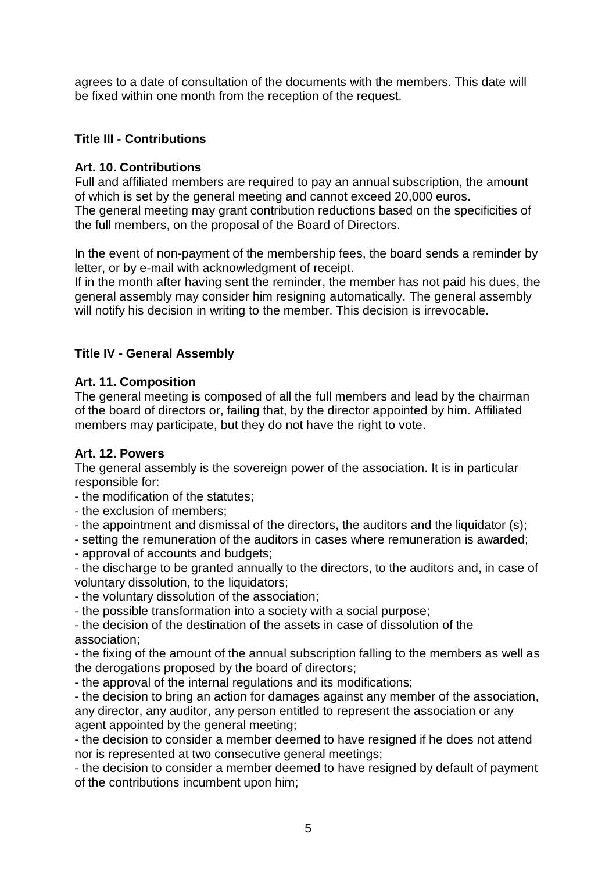agrees to a date of consultation of the documents with the members. This date will be fixed within one month from the reception of the request.

# **Title III - Contributions**

# **Art. 10. Contributions**

Full and affiliated members are required to pay an annual subscription, the amount of which is set by the general meeting and cannot exceed 20,000 euros. The general meeting may grant contribution reductions based on the specificities of the full members, on the proposal of the Board of Directors.

In the event of non-payment of the membership fees, the board sends a reminder by letter, or by e-mail with acknowledgment of receipt.

If in the month after having sent the reminder, the member has not paid his dues, the general assembly may consider him resigning automatically. The general assembly will notify his decision in writing to the member. This decision is irrevocable.

# **Title IV - General Assembly**

# **Art. 11. Composition**

The general meeting is composed of all the full members and lead by the chairman of the board of directors or, failing that, by the director appointed by him. Affiliated members may participate, but they do not have the right to vote.

### **Art. 12. Powers**

The general assembly is the sovereign power of the association. It is in particular responsible for:

- the modification of the statutes;
- the exclusion of members;
- the appointment and dismissal of the directors, the auditors and the liquidator (s);
- setting the remuneration of the auditors in cases where remuneration is awarded;
- approval of accounts and budgets;

- the discharge to be granted annually to the directors, to the auditors and, in case of voluntary dissolution, to the liquidators;

- the voluntary dissolution of the association;
- the possible transformation into a society with a social purpose;

- the decision of the destination of the assets in case of dissolution of the association;

- the fixing of the amount of the annual subscription falling to the members as well as the derogations proposed by the board of directors;

- the approval of the internal regulations and its modifications;

- the decision to bring an action for damages against any member of the association, any director, any auditor, any person entitled to represent the association or any agent appointed by the general meeting;

- the decision to consider a member deemed to have resigned if he does not attend nor is represented at two consecutive general meetings;

- the decision to consider a member deemed to have resigned by default of payment of the contributions incumbent upon him;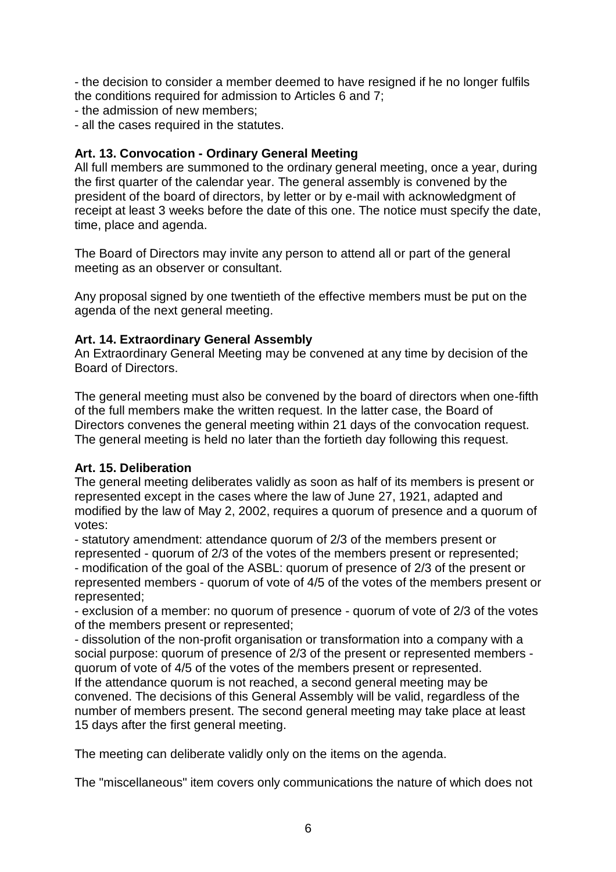- the decision to consider a member deemed to have resigned if he no longer fulfils the conditions required for admission to Articles 6 and 7;

- the admission of new members;
- all the cases required in the statutes.

# **Art. 13. Convocation - Ordinary General Meeting**

All full members are summoned to the ordinary general meeting, once a year, during the first quarter of the calendar year. The general assembly is convened by the president of the board of directors, by letter or by e-mail with acknowledgment of receipt at least 3 weeks before the date of this one. The notice must specify the date, time, place and agenda.

The Board of Directors may invite any person to attend all or part of the general meeting as an observer or consultant.

Any proposal signed by one twentieth of the effective members must be put on the agenda of the next general meeting.

# **Art. 14. Extraordinary General Assembly**

An Extraordinary General Meeting may be convened at any time by decision of the Board of Directors.

The general meeting must also be convened by the board of directors when one-fifth of the full members make the written request. In the latter case, the Board of Directors convenes the general meeting within 21 days of the convocation request. The general meeting is held no later than the fortieth day following this request.

# **Art. 15. Deliberation**

The general meeting deliberates validly as soon as half of its members is present or represented except in the cases where the law of June 27, 1921, adapted and modified by the law of May 2, 2002, requires a quorum of presence and a quorum of votes:

- statutory amendment: attendance quorum of 2/3 of the members present or represented - quorum of 2/3 of the votes of the members present or represented; - modification of the goal of the ASBL: quorum of presence of 2/3 of the present or represented members - quorum of vote of 4/5 of the votes of the members present or represented;

- exclusion of a member: no quorum of presence - quorum of vote of 2/3 of the votes of the members present or represented;

- dissolution of the non-profit organisation or transformation into a company with a social purpose: quorum of presence of 2/3 of the present or represented members quorum of vote of 4/5 of the votes of the members present or represented. If the attendance quorum is not reached, a second general meeting may be convened. The decisions of this General Assembly will be valid, regardless of the number of members present. The second general meeting may take place at least 15 days after the first general meeting.

The meeting can deliberate validly only on the items on the agenda.

The "miscellaneous" item covers only communications the nature of which does not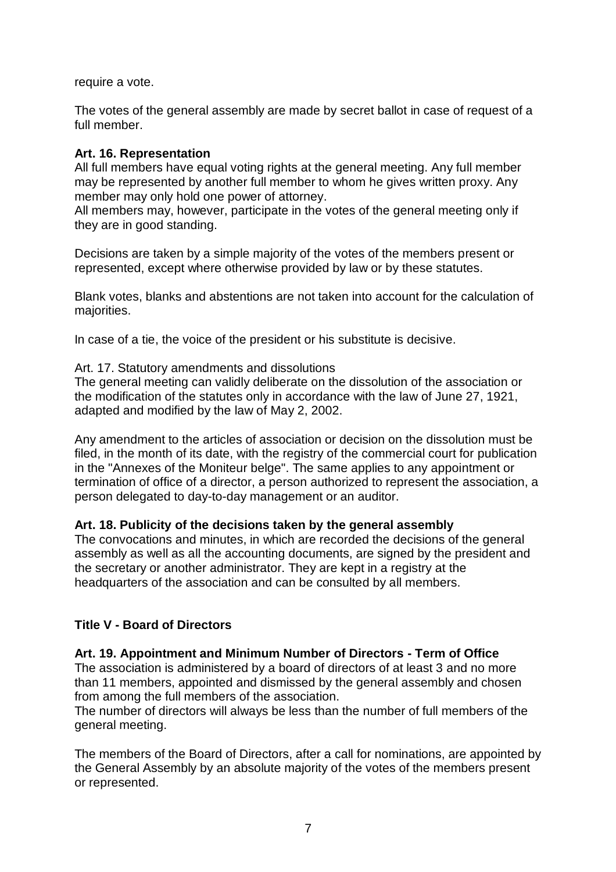require a vote.

The votes of the general assembly are made by secret ballot in case of request of a full member.

### **Art. 16. Representation**

All full members have equal voting rights at the general meeting. Any full member may be represented by another full member to whom he gives written proxy. Any member may only hold one power of attorney.

All members may, however, participate in the votes of the general meeting only if they are in good standing.

Decisions are taken by a simple majority of the votes of the members present or represented, except where otherwise provided by law or by these statutes.

Blank votes, blanks and abstentions are not taken into account for the calculation of majorities.

In case of a tie, the voice of the president or his substitute is decisive.

### Art. 17. Statutory amendments and dissolutions

The general meeting can validly deliberate on the dissolution of the association or the modification of the statutes only in accordance with the law of June 27, 1921, adapted and modified by the law of May 2, 2002.

Any amendment to the articles of association or decision on the dissolution must be filed, in the month of its date, with the registry of the commercial court for publication in the "Annexes of the Moniteur belge". The same applies to any appointment or termination of office of a director, a person authorized to represent the association, a person delegated to day-to-day management or an auditor.

### **Art. 18. Publicity of the decisions taken by the general assembly**

The convocations and minutes, in which are recorded the decisions of the general assembly as well as all the accounting documents, are signed by the president and the secretary or another administrator. They are kept in a registry at the headquarters of the association and can be consulted by all members.

# **Title V - Board of Directors**

### **Art. 19. Appointment and Minimum Number of Directors - Term of Office**

The association is administered by a board of directors of at least 3 and no more than 11 members, appointed and dismissed by the general assembly and chosen from among the full members of the association.

The number of directors will always be less than the number of full members of the general meeting.

The members of the Board of Directors, after a call for nominations, are appointed by the General Assembly by an absolute majority of the votes of the members present or represented.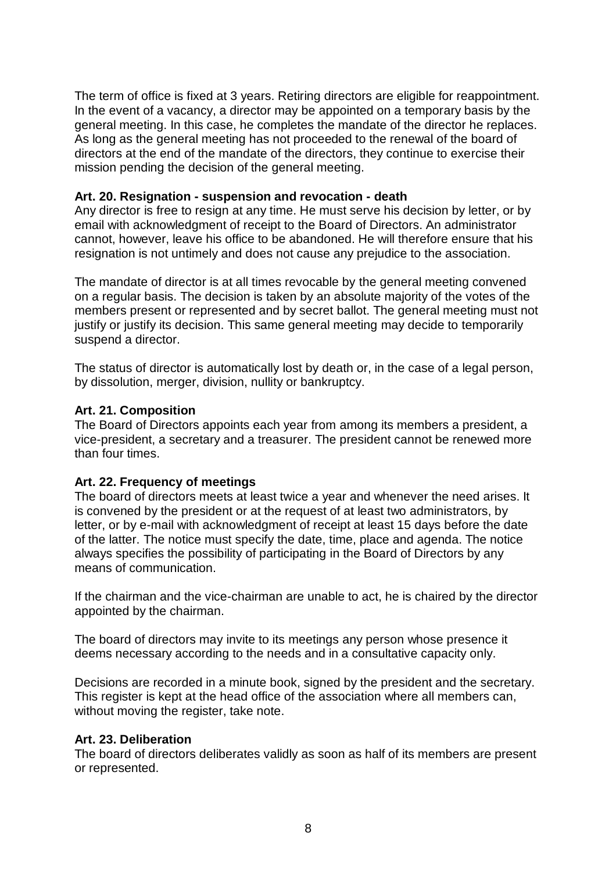The term of office is fixed at 3 years. Retiring directors are eligible for reappointment. In the event of a vacancy, a director may be appointed on a temporary basis by the general meeting. In this case, he completes the mandate of the director he replaces. As long as the general meeting has not proceeded to the renewal of the board of directors at the end of the mandate of the directors, they continue to exercise their mission pending the decision of the general meeting.

### **Art. 20. Resignation - suspension and revocation - death**

Any director is free to resign at any time. He must serve his decision by letter, or by email with acknowledgment of receipt to the Board of Directors. An administrator cannot, however, leave his office to be abandoned. He will therefore ensure that his resignation is not untimely and does not cause any prejudice to the association.

The mandate of director is at all times revocable by the general meeting convened on a regular basis. The decision is taken by an absolute majority of the votes of the members present or represented and by secret ballot. The general meeting must not justify or justify its decision. This same general meeting may decide to temporarily suspend a director.

The status of director is automatically lost by death or, in the case of a legal person, by dissolution, merger, division, nullity or bankruptcy.

#### **Art. 21. Composition**

The Board of Directors appoints each year from among its members a president, a vice-president, a secretary and a treasurer. The president cannot be renewed more than four times.

### **Art. 22. Frequency of meetings**

The board of directors meets at least twice a year and whenever the need arises. It is convened by the president or at the request of at least two administrators, by letter, or by e-mail with acknowledgment of receipt at least 15 days before the date of the latter. The notice must specify the date, time, place and agenda. The notice always specifies the possibility of participating in the Board of Directors by any means of communication.

If the chairman and the vice-chairman are unable to act, he is chaired by the director appointed by the chairman.

The board of directors may invite to its meetings any person whose presence it deems necessary according to the needs and in a consultative capacity only.

Decisions are recorded in a minute book, signed by the president and the secretary. This register is kept at the head office of the association where all members can, without moving the register, take note.

#### **Art. 23. Deliberation**

The board of directors deliberates validly as soon as half of its members are present or represented.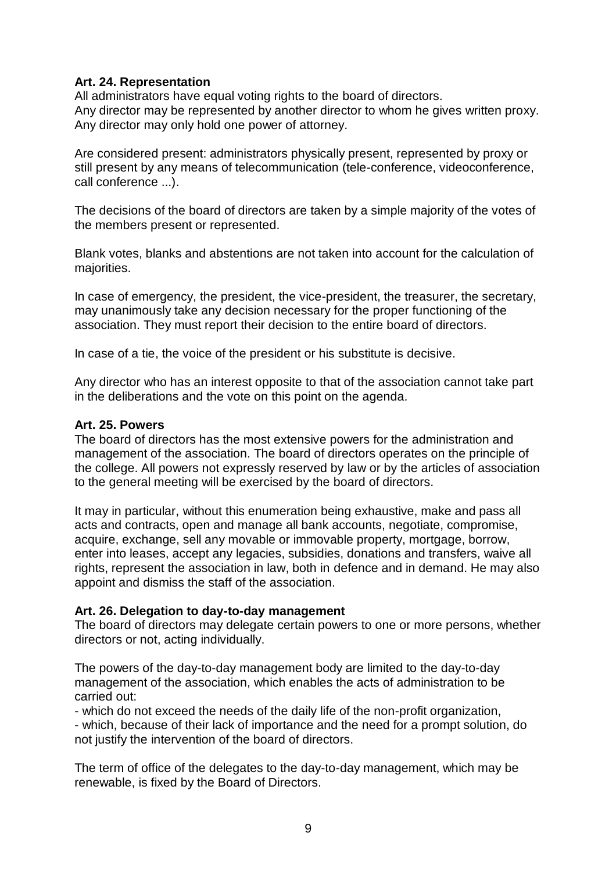### **Art. 24. Representation**

All administrators have equal voting rights to the board of directors. Any director may be represented by another director to whom he gives written proxy. Any director may only hold one power of attorney.

Are considered present: administrators physically present, represented by proxy or still present by any means of telecommunication (tele-conference, videoconference, call conference ...).

The decisions of the board of directors are taken by a simple majority of the votes of the members present or represented.

Blank votes, blanks and abstentions are not taken into account for the calculation of majorities.

In case of emergency, the president, the vice-president, the treasurer, the secretary, may unanimously take any decision necessary for the proper functioning of the association. They must report their decision to the entire board of directors.

In case of a tie, the voice of the president or his substitute is decisive.

Any director who has an interest opposite to that of the association cannot take part in the deliberations and the vote on this point on the agenda.

#### **Art. 25. Powers**

The board of directors has the most extensive powers for the administration and management of the association. The board of directors operates on the principle of the college. All powers not expressly reserved by law or by the articles of association to the general meeting will be exercised by the board of directors.

It may in particular, without this enumeration being exhaustive, make and pass all acts and contracts, open and manage all bank accounts, negotiate, compromise, acquire, exchange, sell any movable or immovable property, mortgage, borrow, enter into leases, accept any legacies, subsidies, donations and transfers, waive all rights, represent the association in law, both in defence and in demand. He may also appoint and dismiss the staff of the association.

#### **Art. 26. Delegation to day-to-day management**

The board of directors may delegate certain powers to one or more persons, whether directors or not, acting individually.

The powers of the day-to-day management body are limited to the day-to-day management of the association, which enables the acts of administration to be carried out:

- which do not exceed the needs of the daily life of the non-profit organization, - which, because of their lack of importance and the need for a prompt solution, do not justify the intervention of the board of directors.

The term of office of the delegates to the day-to-day management, which may be renewable, is fixed by the Board of Directors.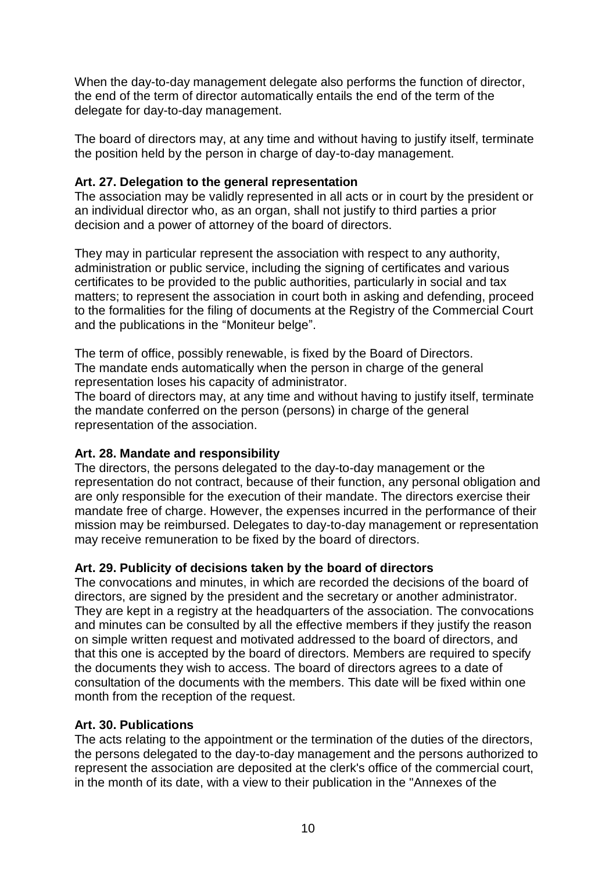When the day-to-day management delegate also performs the function of director, the end of the term of director automatically entails the end of the term of the delegate for day-to-day management.

The board of directors may, at any time and without having to justify itself, terminate the position held by the person in charge of day-to-day management.

# **Art. 27. Delegation to the general representation**

The association may be validly represented in all acts or in court by the president or an individual director who, as an organ, shall not justify to third parties a prior decision and a power of attorney of the board of directors.

They may in particular represent the association with respect to any authority, administration or public service, including the signing of certificates and various certificates to be provided to the public authorities, particularly in social and tax matters; to represent the association in court both in asking and defending, proceed to the formalities for the filing of documents at the Registry of the Commercial Court and the publications in the "Moniteur belge".

The term of office, possibly renewable, is fixed by the Board of Directors. The mandate ends automatically when the person in charge of the general representation loses his capacity of administrator.

The board of directors may, at any time and without having to justify itself, terminate the mandate conferred on the person (persons) in charge of the general representation of the association.

# **Art. 28. Mandate and responsibility**

The directors, the persons delegated to the day-to-day management or the representation do not contract, because of their function, any personal obligation and are only responsible for the execution of their mandate. The directors exercise their mandate free of charge. However, the expenses incurred in the performance of their mission may be reimbursed. Delegates to day-to-day management or representation may receive remuneration to be fixed by the board of directors.

# **Art. 29. Publicity of decisions taken by the board of directors**

The convocations and minutes, in which are recorded the decisions of the board of directors, are signed by the president and the secretary or another administrator. They are kept in a registry at the headquarters of the association. The convocations and minutes can be consulted by all the effective members if they justify the reason on simple written request and motivated addressed to the board of directors, and that this one is accepted by the board of directors. Members are required to specify the documents they wish to access. The board of directors agrees to a date of consultation of the documents with the members. This date will be fixed within one month from the reception of the request.

### **Art. 30. Publications**

The acts relating to the appointment or the termination of the duties of the directors, the persons delegated to the day-to-day management and the persons authorized to represent the association are deposited at the clerk's office of the commercial court, in the month of its date, with a view to their publication in the "Annexes of the